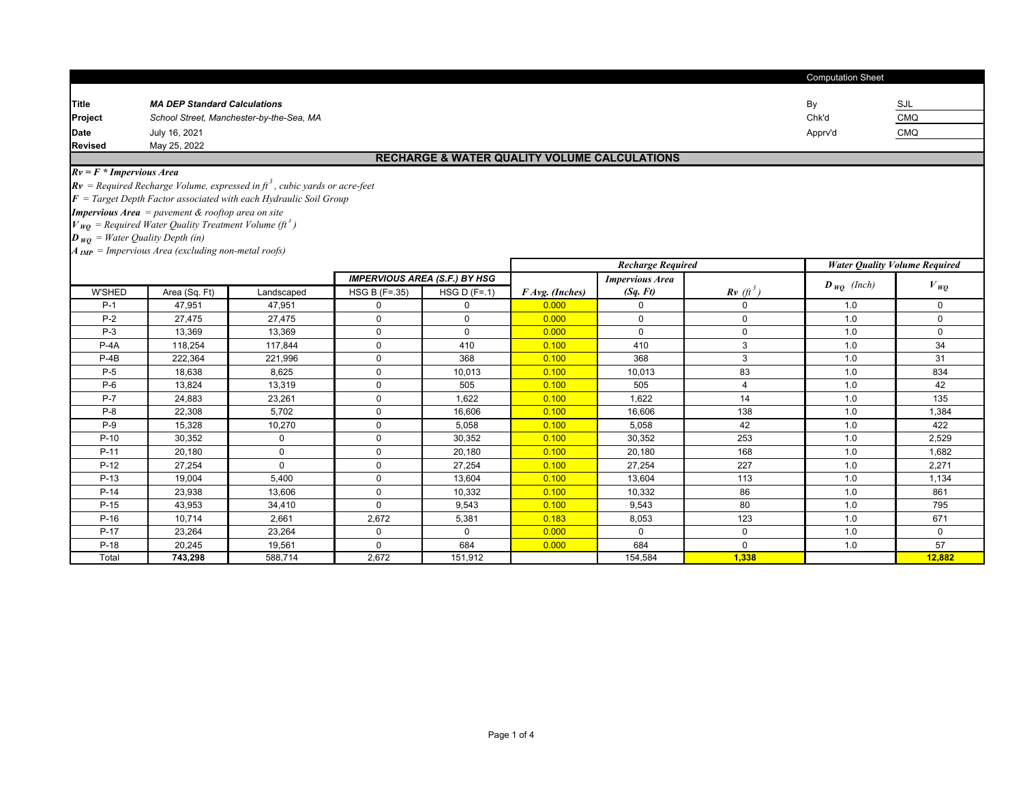|                                                                                         |                                                                       |                                                                                          |               |                                                         |                 |                          | <b>Computation Sheet</b> |                           |                                      |  |  |
|-----------------------------------------------------------------------------------------|-----------------------------------------------------------------------|------------------------------------------------------------------------------------------|---------------|---------------------------------------------------------|-----------------|--------------------------|--------------------------|---------------------------|--------------------------------------|--|--|
| Title                                                                                   | <b>MA DEP Standard Calculations</b>                                   |                                                                                          |               |                                                         |                 |                          |                          | By                        | SJL                                  |  |  |
| Project                                                                                 | School Street, Manchester-by-the-Sea, MA                              |                                                                                          |               |                                                         |                 |                          |                          |                           | <b>CMQ</b>                           |  |  |
| <b>Date</b>                                                                             | July 16, 2021                                                         |                                                                                          |               |                                                         |                 |                          |                          | Apprv'd                   | <b>CMQ</b>                           |  |  |
| <b>Revised</b>                                                                          | May 25, 2022                                                          |                                                                                          |               |                                                         |                 |                          |                          |                           |                                      |  |  |
|                                                                                         |                                                                       |                                                                                          |               | <b>RECHARGE &amp; WATER QUALITY VOLUME CALCULATIONS</b> |                 |                          |                          |                           |                                      |  |  |
| $Rv = F * Impervious Area$                                                              |                                                                       |                                                                                          |               |                                                         |                 |                          |                          |                           |                                      |  |  |
|                                                                                         |                                                                       | $Rv$ = Required Recharge Volume, expressed in ft <sup>3</sup> , cubic yards or acre-feet |               |                                                         |                 |                          |                          |                           |                                      |  |  |
|                                                                                         |                                                                       | $\mathbf{F}$ = Target Depth Factor associated with each Hydraulic Soil Group             |               |                                                         |                 |                          |                          |                           |                                      |  |  |
|                                                                                         | <b>Impervious Area</b> = pavement $\&$ rooftop area on site           |                                                                                          |               |                                                         |                 |                          |                          |                           |                                      |  |  |
|                                                                                         | $V_{WO}$ = Required Water Quality Treatment Volume (ft <sup>3</sup> ) |                                                                                          |               |                                                         |                 |                          |                          |                           |                                      |  |  |
| $\boldsymbol{D}_{\boldsymbol{W}\boldsymbol{O}} = \boldsymbol{Water}$ Quality Depth (in) |                                                                       |                                                                                          |               |                                                         |                 |                          |                          |                           |                                      |  |  |
|                                                                                         | $A_{IMP}$ = Impervious Area (excluding non-metal roofs)               |                                                                                          |               |                                                         |                 |                          |                          |                           |                                      |  |  |
|                                                                                         |                                                                       |                                                                                          |               |                                                         |                 | <b>Recharge Required</b> |                          |                           | <b>Water Quality Volume Required</b> |  |  |
|                                                                                         |                                                                       |                                                                                          |               | <b>IMPERVIOUS AREA (S.F.) BY HSG</b>                    |                 | <b>Impervious Area</b>   |                          | $\bm{D}_{\bm{WO}}$ (Inch) |                                      |  |  |
| <b>W'SHED</b>                                                                           | Area (Sq. Ft)                                                         | Landscaped                                                                               | HSG B (F=.35) | HSG D $(F=.1)$                                          | F Avg. (Inches) | (Sq. Ft)                 | $Rv$ (ft <sup>3</sup> )  |                           | $V_{WQ}$                             |  |  |
| $P-1$                                                                                   | 47.951                                                                | 47,951                                                                                   | 0             | $\mathbf 0$                                             | 0.000           | $\Omega$                 | $\mathbf 0$              | 1.0                       | 0                                    |  |  |
| $P-2$                                                                                   | 27,475                                                                | 27,475                                                                                   | $\Omega$      | $\mathbf{0}$                                            | 0.000           | $\Omega$                 | $\Omega$                 | 1.0                       | $\Omega$                             |  |  |
| $P-3$                                                                                   | 13.369                                                                | 13,369                                                                                   | $\mathbf 0$   | $\mathbf 0$                                             | 0.000           | $\Omega$                 | 0                        | 1.0                       | $\Omega$                             |  |  |
| $P-4A$                                                                                  | 118,254                                                               | 117,844                                                                                  | $\mathbf 0$   | 410                                                     | 0.100           | 410                      | 3                        | 1.0                       | 34                                   |  |  |
| $P-4B$                                                                                  | 222,364                                                               | 221,996                                                                                  | $\mathbf 0$   | 368                                                     | 0.100           | 368                      | 3                        | 1.0                       | 31                                   |  |  |
| $P-5$                                                                                   | 18,638                                                                | 8,625                                                                                    | $\mathbf 0$   | 10,013                                                  | 0.100           | 10,013                   | 83                       | 1.0                       | 834                                  |  |  |
| $P-6$                                                                                   | 13,824                                                                | 13,319                                                                                   | $\mathbf 0$   | 505                                                     | 0.100           | 505                      | 4                        | 1.0                       | 42                                   |  |  |
| $P-7$                                                                                   | 24,883                                                                | 23,261                                                                                   | $\mathbf 0$   | 1,622                                                   | 0.100           | 1,622                    | 14                       | 1.0                       | 135                                  |  |  |
| $P-8$                                                                                   | 22,308                                                                | 5,702                                                                                    | $\mathbf 0$   | 16,606                                                  | 0.100           | 16,606                   | 138                      | 1.0                       | 1,384                                |  |  |
| $P-9$                                                                                   | 15,328                                                                | 10,270                                                                                   | $\mathbf 0$   | 5,058                                                   | 0.100           | 5,058                    | 42                       | 1.0                       | 422                                  |  |  |
| $P-10$                                                                                  | 30,352                                                                | $\mathbf 0$                                                                              | $\mathbf 0$   | 30,352                                                  | 0.100           | 30,352                   | 253                      | 1.0                       | 2,529                                |  |  |
| $P-11$                                                                                  | 20,180                                                                | $\mathbf 0$                                                                              | $\Omega$      | 20,180                                                  | 0.100           | 20,180                   | 168                      | 1.0                       | 1,682                                |  |  |
| $P-12$                                                                                  | 27,254                                                                | $\Omega$                                                                                 | $\Omega$      | 27,254                                                  | 0.100           | 27,254                   | 227                      | 1.0                       | 2,271                                |  |  |
| $P-13$                                                                                  | 19,004                                                                | 5,400                                                                                    | $\Omega$      | 13,604                                                  | 0.100           | 13,604                   | 113                      | 1.0                       | 1,134                                |  |  |
| $P-14$                                                                                  | 23,938                                                                | 13,606                                                                                   | $\Omega$      | 10,332                                                  | 0.100           | 10,332                   | 86                       | 1.0                       | 861                                  |  |  |
| $P-15$                                                                                  | 43,953                                                                | 34,410                                                                                   | $\mathbf 0$   | 9,543                                                   | 0.100           | 9,543                    | 80                       | 1.0                       | 795                                  |  |  |
| $P-16$                                                                                  | 10,714                                                                | 2,661                                                                                    | 2,672         | 5,381                                                   | 0.183           | 8,053                    | 123                      | 1.0                       | 671                                  |  |  |
| $P-17$                                                                                  | 23,264                                                                | 23,264                                                                                   | $\mathbf 0$   | $\mathbf{0}$                                            | 0.000           | $\Omega$                 | $\mathbf 0$              | 1.0                       | $\Omega$                             |  |  |
| $P-18$                                                                                  | 20.245                                                                | 19,561                                                                                   | $\Omega$      | 684                                                     | 0.000           | 684                      | $\Omega$                 | 1.0                       | 57                                   |  |  |
| Total                                                                                   | 743,298                                                               | 588,714                                                                                  | 2.672         | 151.912                                                 |                 | 154,584                  | 1,338                    |                           | 12,882                               |  |  |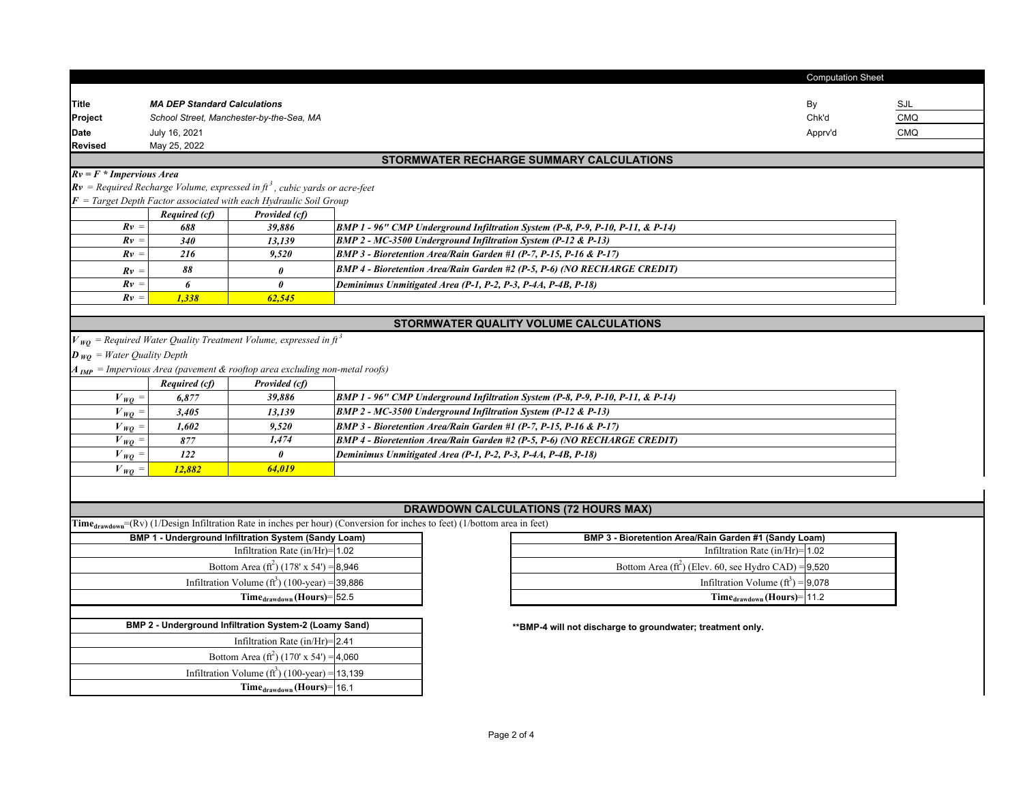|                                                                                        |                                                                     |                                                                                          |                                                                                                                                  |                                                                                | <b>Computation Sheet</b> |                          |  |  |  |  |
|----------------------------------------------------------------------------------------|---------------------------------------------------------------------|------------------------------------------------------------------------------------------|----------------------------------------------------------------------------------------------------------------------------------|--------------------------------------------------------------------------------|--------------------------|--------------------------|--|--|--|--|
|                                                                                        |                                                                     |                                                                                          |                                                                                                                                  |                                                                                |                          |                          |  |  |  |  |
| Title                                                                                  | <b>MA DEP Standard Calculations</b>                                 |                                                                                          |                                                                                                                                  |                                                                                | By                       | SJL                      |  |  |  |  |
| Project                                                                                |                                                                     | School Street, Manchester-by-the-Sea, MA                                                 |                                                                                                                                  |                                                                                | Chk'd                    | <b>CMQ</b><br><b>CMQ</b> |  |  |  |  |
| <b>Date</b><br><b>Revised</b>                                                          | July 16, 2021<br>Apprv'd<br>May 25, 2022                            |                                                                                          |                                                                                                                                  |                                                                                |                          |                          |  |  |  |  |
|                                                                                        |                                                                     |                                                                                          |                                                                                                                                  | STORMWATER RECHARGE SUMMARY CALCULATIONS                                       |                          |                          |  |  |  |  |
| $Rv = F * Impervious Area$                                                             |                                                                     |                                                                                          |                                                                                                                                  |                                                                                |                          |                          |  |  |  |  |
|                                                                                        |                                                                     | $Rv$ = Required Recharge Volume, expressed in ft <sup>3</sup> , cubic yards or acre-feet |                                                                                                                                  |                                                                                |                          |                          |  |  |  |  |
|                                                                                        |                                                                     | $\mathbf{F}$ = Target Depth Factor associated with each Hydraulic Soil Group             |                                                                                                                                  |                                                                                |                          |                          |  |  |  |  |
|                                                                                        | <b>Required (cf)</b>                                                | Provided (cf)                                                                            |                                                                                                                                  |                                                                                |                          |                          |  |  |  |  |
| $Rv =$                                                                                 | 688                                                                 | 39,886                                                                                   |                                                                                                                                  | BMP 1 - 96" CMP Underground Infiltration System (P-8, P-9, P-10, P-11, & P-14) |                          |                          |  |  |  |  |
| $Rv =$                                                                                 | 340                                                                 | 13,139                                                                                   | BMP 2 - MC-3500 Underground Infiltration System (P-12 & P-13)                                                                    |                                                                                |                          |                          |  |  |  |  |
| $Rv =$                                                                                 | 216                                                                 | 9,520                                                                                    | BMP 3 - Bioretention Area/Rain Garden #1 (P-7, P-15, P-16 & P-17)                                                                |                                                                                |                          |                          |  |  |  |  |
| $Rv =$                                                                                 | 88                                                                  | $\theta$                                                                                 |                                                                                                                                  | BMP 4 - Bioretention Area/Rain Garden #2 (P-5, P-6) (NO RECHARGE CREDIT)       |                          |                          |  |  |  |  |
| $Rv =$                                                                                 | 6                                                                   | $\boldsymbol{\theta}$                                                                    | Deminimus Unmitigated Area (P-1, P-2, P-3, P-4A, P-4B, P-18)                                                                     |                                                                                |                          |                          |  |  |  |  |
| $Rv =$                                                                                 | 1.338                                                               | 62,545                                                                                   |                                                                                                                                  |                                                                                |                          |                          |  |  |  |  |
|                                                                                        |                                                                     |                                                                                          |                                                                                                                                  |                                                                                |                          |                          |  |  |  |  |
|                                                                                        |                                                                     |                                                                                          |                                                                                                                                  | STORMWATER QUALITY VOLUME CALCULATIONS                                         |                          |                          |  |  |  |  |
|                                                                                        |                                                                     | $V_{WQ}$ = Required Water Quality Treatment Volume, expressed in ft <sup>3</sup>         |                                                                                                                                  |                                                                                |                          |                          |  |  |  |  |
| $\boldsymbol{D}_{\boldsymbol{W}\boldsymbol{O}} = \boldsymbol{Water}$ Quality Depth     |                                                                     |                                                                                          |                                                                                                                                  |                                                                                |                          |                          |  |  |  |  |
|                                                                                        |                                                                     | $A_{IMP}$ = Impervious Area (pavement & rooftop area excluding non-metal roofs)          |                                                                                                                                  |                                                                                |                          |                          |  |  |  |  |
|                                                                                        | <b>Required (cf)</b>                                                | Provided (cf)                                                                            |                                                                                                                                  |                                                                                |                          |                          |  |  |  |  |
| $V_{WQ}$ =                                                                             | 6,877                                                               | 39,886                                                                                   |                                                                                                                                  | BMP 1 - 96" CMP Underground Infiltration System (P-8, P-9, P-10, P-11, & P-14) |                          |                          |  |  |  |  |
| $V_{WO} =$                                                                             | 3,405                                                               | 13,139                                                                                   | BMP 2 - MC-3500 Underground Infiltration System (P-12 & P-13)                                                                    |                                                                                |                          |                          |  |  |  |  |
| $V_{WO}$ =                                                                             | 1,602                                                               | 9,520                                                                                    | BMP 3 - Bioretention Area/Rain Garden #1 (P-7, P-15, P-16 & P-17)                                                                |                                                                                |                          |                          |  |  |  |  |
| $V_{WO}$ =                                                                             | 877                                                                 | 1,474                                                                                    |                                                                                                                                  | BMP 4 - Bioretention Area/Rain Garden #2 (P-5, P-6) (NO RECHARGE CREDIT)       |                          |                          |  |  |  |  |
| $V_{WO} =$                                                                             | 122                                                                 | $\theta$                                                                                 | Deminimus Unmitigated Area (P-1, P-2, P-3, P-4A, P-4B, P-18)                                                                     |                                                                                |                          |                          |  |  |  |  |
| $V_{WO} =$                                                                             | 12,882                                                              | 64,019                                                                                   |                                                                                                                                  |                                                                                |                          |                          |  |  |  |  |
|                                                                                        |                                                                     |                                                                                          |                                                                                                                                  |                                                                                |                          |                          |  |  |  |  |
|                                                                                        |                                                                     |                                                                                          |                                                                                                                                  | <b>DRAWDOWN CALCULATIONS (72 HOURS MAX)</b>                                    |                          |                          |  |  |  |  |
|                                                                                        |                                                                     |                                                                                          | $Time_{drawdown} = (Rv)$ (1/Design Infiltration Rate in inches per hour) (Conversion for inches to feet) (1/bottom area in feet) |                                                                                |                          |                          |  |  |  |  |
|                                                                                        |                                                                     | <b>BMP 1 - Underground Infiltration System (Sandy Loam)</b>                              |                                                                                                                                  | BMP 3 - Bioretention Area/Rain Garden #1 (Sandy Loam)                          |                          |                          |  |  |  |  |
|                                                                                        |                                                                     | Infiltration Rate $(in/Hi)=1.02$                                                         |                                                                                                                                  | Infiltration Rate $(in/Hi)=1.02$                                               |                          |                          |  |  |  |  |
|                                                                                        |                                                                     | Bottom Area (ft <sup>2</sup> ) (178' x 54') = 8,946                                      |                                                                                                                                  | Bottom Area ( $ft^2$ ) (Elev. 60, see Hydro CAD) = 9,520                       |                          |                          |  |  |  |  |
|                                                                                        |                                                                     |                                                                                          |                                                                                                                                  |                                                                                |                          |                          |  |  |  |  |
| Infiltration Volume $(f3)$ (100-year) = 39,886<br>Infiltration Volume $(ft^3) = 9.078$ |                                                                     |                                                                                          |                                                                                                                                  |                                                                                |                          |                          |  |  |  |  |
|                                                                                        | $Time_{drawdown}$ (Hours) = 52.5<br>$Time_{drawdown}$ (Hours)= 11.2 |                                                                                          |                                                                                                                                  |                                                                                |                          |                          |  |  |  |  |
|                                                                                        |                                                                     | BMP 2 - Underground Infiltration System-2 (Loamy Sand)                                   |                                                                                                                                  |                                                                                |                          |                          |  |  |  |  |
|                                                                                        |                                                                     | Infiltration Rate $(in/Hr)$ = 2.41                                                       |                                                                                                                                  | ** BMP-4 will not discharge to groundwater; treatment only.                    |                          |                          |  |  |  |  |
|                                                                                        |                                                                     |                                                                                          |                                                                                                                                  |                                                                                |                          |                          |  |  |  |  |
|                                                                                        |                                                                     | Bottom Area (ft <sup>2</sup> ) (170' x 54') = 4,060                                      |                                                                                                                                  |                                                                                |                          |                          |  |  |  |  |
|                                                                                        |                                                                     | Infiltration Volume ( $ft^3$ ) (100-year) = 13,139                                       |                                                                                                                                  |                                                                                |                          |                          |  |  |  |  |
|                                                                                        |                                                                     | $Time_{drawdown}$ (Hours) = 16.1                                                         |                                                                                                                                  |                                                                                |                          |                          |  |  |  |  |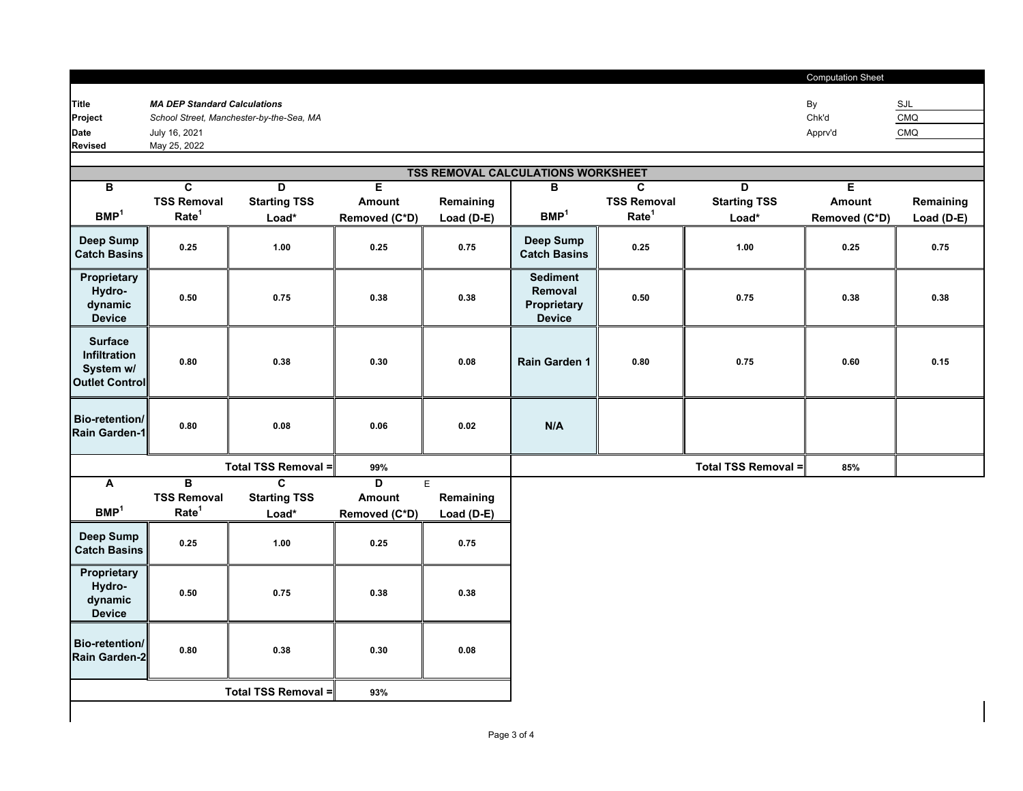|                |                                          | <b>Computation Sheet</b> |            |
|----------------|------------------------------------------|--------------------------|------------|
|                |                                          |                          |            |
| <b>Title</b>   | <b>MA DEP Standard Calculations</b>      | By                       | SJL        |
| Project        | School Street, Manchester-by-the-Sea, MA | Chk'd                    | <b>CMQ</b> |
| Date           | July 16, 2021                            | Apprv'd                  | <b>CMQ</b> |
| <b>Revised</b> | May 25, 2022                             |                          |            |

| <b>TSS REMOVAL CALCULATIONS WORKSHEET</b>                     |                         |                         |                         |              |                                                            |                    |                     |               |            |
|---------------------------------------------------------------|-------------------------|-------------------------|-------------------------|--------------|------------------------------------------------------------|--------------------|---------------------|---------------|------------|
| В                                                             | C                       | D                       | E.                      |              | в                                                          | C                  | D.                  | E             |            |
|                                                               | <b>TSS Removal</b>      | <b>Starting TSS</b>     | <b>Amount</b>           | Remaining    |                                                            | <b>TSS Removal</b> | <b>Starting TSS</b> | Amount        | Remaining  |
| BMP <sup>1</sup>                                              | Rate <sup>1</sup>       | Load*                   | Removed (C*D)           | Load $(D-E)$ | BMP <sup>1</sup>                                           | Rate <sup>1</sup>  | Load*               | Removed (C*D) | Load (D-E) |
| Deep Sump<br><b>Catch Basins</b>                              | 0.25                    | 1.00                    | 0.25                    | 0.75         | Deep Sump<br><b>Catch Basins</b>                           | 0.25               | 1.00                | 0.25          | 0.75       |
| Proprietary<br>Hydro-<br>dynamic<br><b>Device</b>             | 0.50                    | 0.75                    | 0.38                    | 0.38         | <b>Sediment</b><br>Removal<br>Proprietary<br><b>Device</b> | 0.50               | 0.75                | 0.38          | 0.38       |
| <b>Surface</b><br>Infiltration<br>System w/<br>Outlet Control | 0.80                    | 0.38                    | 0.30                    | 0.08         | Rain Garden 1                                              | 0.80               | 0.75                | 0.60          | 0.15       |
| <b>Bio-retention/</b><br>Rain Garden-1                        | 0.80                    | 0.08                    | 0.06                    | $\bf 0.02$   | N/A                                                        |                    |                     |               |            |
|                                                               |                         | Total TSS Removal =     | 99%                     |              |                                                            |                    | Total TSS Removal = | 85%           |            |
| Α                                                             | $\overline{\mathbf{B}}$ | $\overline{\mathbf{c}}$ | $\overline{\mathsf{D}}$ | E            |                                                            |                    |                     |               |            |
|                                                               | <b>TSS Removal</b>      | <b>Starting TSS</b>     | Amount                  | Remaining    |                                                            |                    |                     |               |            |
| BMP <sup>1</sup>                                              | Rate <sup>1</sup>       | Load*                   | Removed (C*D)           | Load (D-E)   |                                                            |                    |                     |               |            |
| Deep Sump<br><b>Catch Basins</b>                              | 0.25                    | 1.00                    | 0.25                    | 0.75         |                                                            |                    |                     |               |            |
| Proprietary<br>Hydro-<br>dynamic<br><b>Device</b>             | 0.50                    | 0.75                    | 0.38                    | 0.38         |                                                            |                    |                     |               |            |
| Bio-retention/<br>Rain Garden-2                               | 0.80                    | 0.38                    | 0.30                    | 0.08         |                                                            |                    |                     |               |            |

**Total TSS Removal =**

**93%**